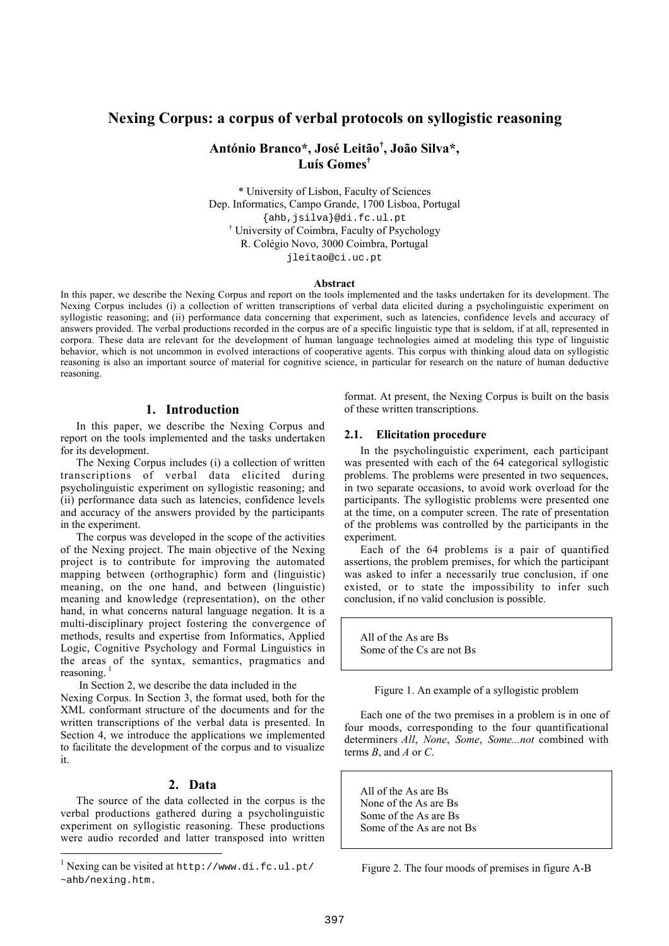# **Nexing Corpus: a corpus of verbal protocols on syllogistic reasoning**

# **António Branco\*, José Leitão† , João Silva\*, Luís Gomes†**

\* University of Lisbon, Faculty of Sciences Dep. Informatics, Campo Grande, 1700 Lisboa, Portugal {ahb,jsilva}@di.fc.ul.pt † University of Coimbra, Faculty of Psychology R. Colégio Novo, 3000 Coimbra, Portugal jleitao@ci.uc.pt

#### **Abstract**

In this paper, we describe the Nexing Corpus and report on the tools implemented and the tasks undertaken for its development. The Nexing Corpus includes (i) a collection of written transcriptions of verbal data elicited during a psycholinguistic experiment on syllogistic reasoning; and (ii) performance data concerning that experiment, such as latencies, confidence levels and accuracy of answers provided. The verbal productions recorded in the corpus are of a specific linguistic type that is seldom, if at all, represented in corpora. These data are relevant for the development of human language technologies aimed at modeling this type of linguistic behavior, which is not uncommon in evolved interactions of cooperative agents. This corpus with thinking aloud data on syllogistic reasoning is also an important source of material for cognitive science, in particular for research on the nature of human deductive reasoning.

### **1. Introduction**

In this paper, we describe the Nexing Corpus and report on the tools implemented and the tasks undertaken for its development.

The Nexing Corpus includes (i) a collection of written transcriptions of verbal data elicited during psycholinguistic experiment on syllogistic reasoning; and (ii) performance data such as latencies, confidence levels and accuracy of the answers provided by the participants in the experiment.

The corpus was developed in the scope of the activities of the Nexing project. The main objective of the Nexing project is to contribute for improving the automated mapping between (orthographic) form and (linguistic) meaning, on the one hand, and between (linguistic) meaning and knowledge (representation), on the other hand, in what concerns natural language negation. It is a multi-disciplinary project fostering the convergence of methods, results and expertise from Informatics, Applied Logic, Cognitive Psychology and Formal Linguistics in the areas of the syntax, semantics, pragmatics and reasoning.<sup>1</sup>

In Section 2, we describe the data included in the

Nexing Corpus. In Section 3, the format used, both for the XML conformant structure of the documents and for the written transcriptions of the verbal data is presented. In Section 4, we introduce the applications we implemented to facilitate the development of the corpus and to visualize it.

# **2. Data**

The source of the data collected in the corpus is the verbal productions gathered during a psycholinguistic experiment on syllogistic reasoning. These productions were audio recorded and latter transposed into written

1

format. At present, the Nexing Corpus is built on the basis of these written transcriptions.

#### **2.1. Elicitation procedure**

In the psycholinguistic experiment, each participant was presented with each of the 64 categorical syllogistic problems. The problems were presented in two sequences, in two separate occasions, to avoid work overload for the participants. The syllogistic problems were presented one at the time, on a computer screen. The rate of presentation of the problems was controlled by the participants in the experiment.

Each of the 64 problems is a pair of quantified assertions, the problem premises, for which the participant was asked to infer a necessarily true conclusion, if one existed, or to state the impossibility to infer such conclusion, if no valid conclusion is possible.

All of the As are Bs Some of the Cs are not Bs

Figure 1. An example of a syllogistic problem

Each one of the two premises in a problem is in one of four moods, corresponding to the four quantificational determiners *All*, *None*, *Some*, *Some...not* combined with terms *B*, and *A* or *C*.

All of the As are Bs None of the As are Bs Some of the As are Bs Some of the As are not Bs

Figure 2. The four moods of premises in figure A-B

<sup>1</sup> Nexing can be visited at http://www.di.fc.ul.pt/ ~ahb/nexing.htm.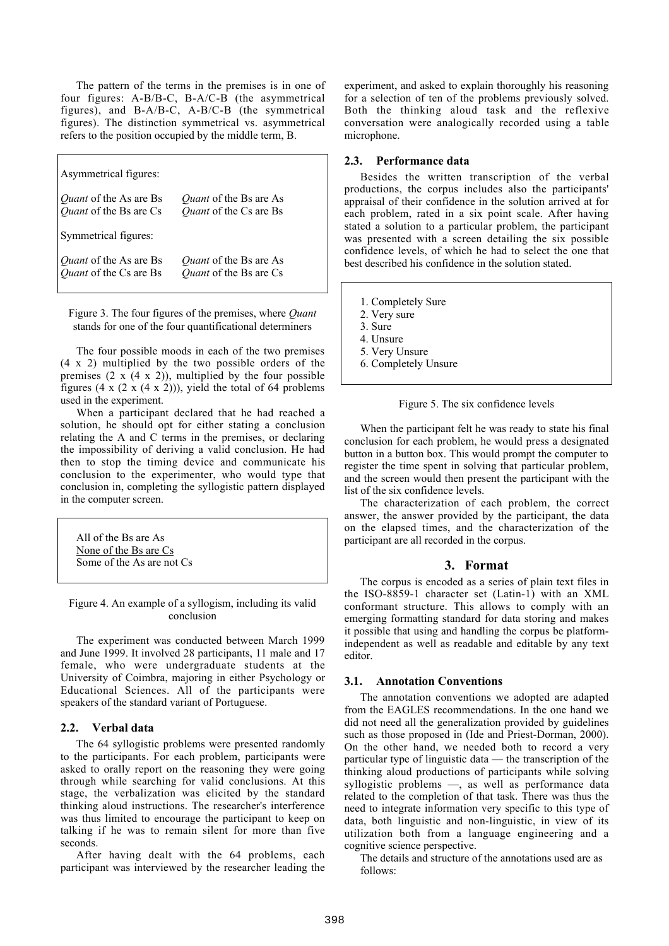The pattern of the terms in the premises is in one of four figures: A-B/B-C, B-A/C-B (the asymmetrical figures), and B-A/B-C, A-B/C-B (the symmetrical figures). The distinction symmetrical vs. asymmetrical refers to the position occupied by the middle term, B.

| Asymmetrical figures:  |                               |
|------------------------|-------------------------------|
| Quant of the As are Bs | Quant of the Bs are As        |
| Quant of the Bs are Cs | Quant of the Cs are Bs        |
| Symmetrical figures:   |                               |
| Quant of the As are Bs | <i>Quant</i> of the Bs are As |
| Quant of the Cs are Bs | Quant of the Bs are Cs        |

Figure 3. The four figures of the premises, where *Quant* stands for one of the four quantificational determiners

The four possible moods in each of the two premises (4 x 2) multiplied by the two possible orders of the premises  $(2 \times (4 \times 2))$ , multiplied by the four possible figures  $(4 \times (2 \times (4 \times 2)))$ , yield the total of 64 problems used in the experiment.

When a participant declared that he had reached a solution, he should opt for either stating a conclusion relating the A and C terms in the premises, or declaring the impossibility of deriving a valid conclusion. He had then to stop the timing device and communicate his conclusion to the experimenter, who would type that conclusion in, completing the syllogistic pattern displayed in the computer screen.

All of the Bs are As None of the Bs are Cs Some of the As are not Cs

Figure 4. An example of a syllogism, including its valid conclusion

The experiment was conducted between March 1999 and June 1999. It involved 28 participants, 11 male and 17 female, who were undergraduate students at the University of Coimbra, majoring in either Psychology or Educational Sciences. All of the participants were speakers of the standard variant of Portuguese.

## **2.2. Verbal data**

The 64 syllogistic problems were presented randomly to the participants. For each problem, participants were asked to orally report on the reasoning they were going through while searching for valid conclusions. At this stage, the verbalization was elicited by the standard thinking aloud instructions. The researcher's interference was thus limited to encourage the participant to keep on talking if he was to remain silent for more than five seconds.

After having dealt with the 64 problems, each participant was interviewed by the researcher leading the experiment, and asked to explain thoroughly his reasoning for a selection of ten of the problems previously solved. Both the thinking aloud task and the reflexive conversation were analogically recorded using a table microphone.

### **2.3. Performance data**

Besides the written transcription of the verbal productions, the corpus includes also the participants' appraisal of their confidence in the solution arrived at for each problem, rated in a six point scale. After having stated a solution to a particular problem, the participant was presented with a screen detailing the six possible confidence levels, of which he had to select the one that best described his confidence in the solution stated.

1. Completely Sure

- 2. Very sure
- 3. Sure
- 4. Unsure
- 5. Very Unsure
- 6. Completely Unsure

#### Figure 5. The six confidence levels

When the participant felt he was ready to state his final conclusion for each problem, he would press a designated button in a button box. This would prompt the computer to register the time spent in solving that particular problem, and the screen would then present the participant with the list of the six confidence levels.

The characterization of each problem, the correct answer, the answer provided by the participant, the data on the elapsed times, and the characterization of the participant are all recorded in the corpus.

## **3. Format**

The corpus is encoded as a series of plain text files in the ISO-8859-1 character set (Latin-1) with an XML conformant structure. This allows to comply with an emerging formatting standard for data storing and makes it possible that using and handling the corpus be platformindependent as well as readable and editable by any text editor.

#### **3.1. Annotation Conventions**

The annotation conventions we adopted are adapted from the EAGLES recommendations. In the one hand we did not need all the generalization provided by guidelines such as those proposed in (Ide and Priest-Dorman, 2000). On the other hand, we needed both to record a very particular type of linguistic data — the transcription of the thinking aloud productions of participants while solving syllogistic problems —, as well as performance data related to the completion of that task. There was thus the need to integrate information very specific to this type of data, both linguistic and non-linguistic, in view of its utilization both from a language engineering and a cognitive science perspective.

The details and structure of the annotations used are as follows: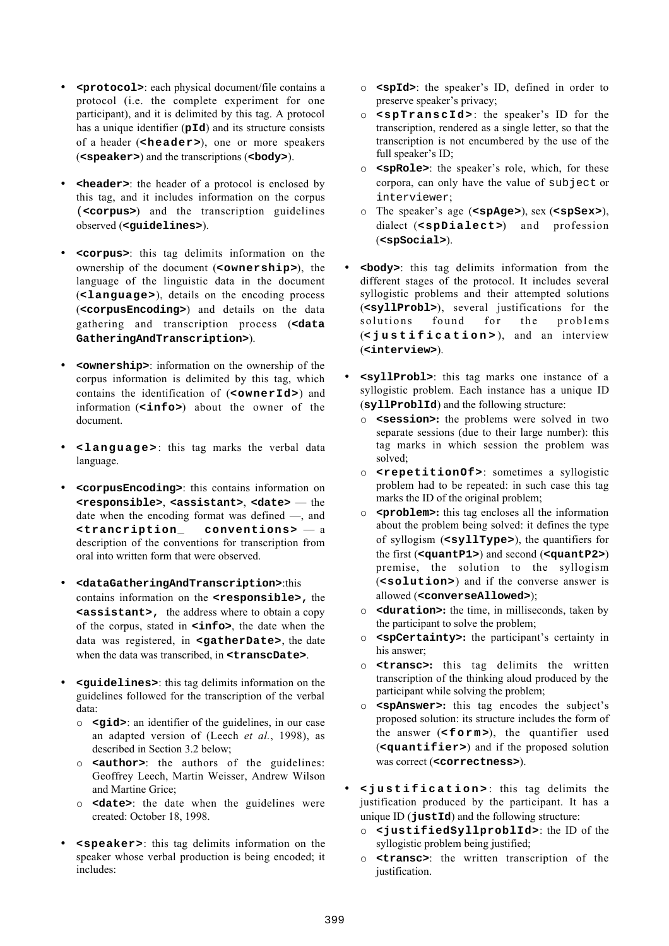- **<protocol>**: each physical document/file contains a protocol (i.e. the complete experiment for one participant), and it is delimited by this tag. A protocol has a unique identifier (**pId**) and its structure consists of a header (**<header>**), one or more speakers (**<speaker>**) and the transcriptions (**<body>**).
- **<header>**: the header of a protocol is enclosed by this tag, and it includes information on the corpus (**<corpus>**) and the transcription guidelines observed (**<guidelines>**).
- **<corpus>**: this tag delimits information on the ownership of the document (**<ownership>**), the language of the linguistic data in the document (**<language>**), details on the encoding process (**<corpusEncoding>**) and details on the data gathering and transcription process (**<data GatheringAndTranscription>**).
- **<ownership>**: information on the ownership of the corpus information is delimited by this tag, which contains the identification of (**<ownerId>**) and information (**<info>**) about the owner of the document.
- **<language>**: this tag marks the verbal data language.
- **<corpusEncoding>**: this contains information on **<responsible>**, **<assistant>**, **<date>** — the date when the encoding format was defined —, and **<trancription\_ conventions>** — a description of the conventions for transcription from oral into written form that were observed.
- **<dataGatheringAndTranscription>**:this contains information on the **<responsible>,** the **<assistant>,** the address where to obtain a copy of the corpus, stated in **<info>**, the date when the data was registered, in **<gatherDate>**, the date when the data was transcribed, in **<transcDate>**.
- **<guidelines>**: this tag delimits information on the guidelines followed for the transcription of the verbal data:
	- o **<gid>**: an identifier of the guidelines, in our case an adapted version of (Leech *et al.*, 1998), as described in Section 3.2 below;
	- o **<author>**: the authors of the guidelines: Geoffrey Leech, Martin Weisser, Andrew Wilson and Martine Grice;
	- o **<date>**: the date when the guidelines were created: October 18, 1998.
- **<speaker>**: this tag delimits information on the speaker whose verbal production is being encoded; it includes:
- o **<spId>**: the speaker's ID, defined in order to preserve speaker's privacy;
- o **<spTranscId>**: the speaker's ID for the transcription, rendered as a single letter, so that the transcription is not encumbered by the use of the full speaker's ID;
- o **<spRole>**: the speaker's role, which, for these corpora, can only have the value of subject or interviewer;
- o The speaker's age (**<spAge>**), sex (**<spSex>**), dialect (**<spDialect>**) and profession (**<spSocial>**).
- **<body>**: this tag delimits information from the different stages of the protocol. It includes several syllogistic problems and their attempted solutions (**<syllProbl>**), several justifications for the solutions found for the problems (**<justification>** ), and an interview (**<interview>**).
- **<syllProbl>**: this tag marks one instance of a syllogistic problem. Each instance has a unique ID (**syllProblId**) and the following structure:
	- o **<session>:** the problems were solved in two separate sessions (due to their large number): this tag marks in which session the problem was solved;
	- o **<repetitionOf>**: sometimes a syllogistic problem had to be repeated: in such case this tag marks the ID of the original problem;
	- o **<problem>:** this tag encloses all the information about the problem being solved: it defines the type of syllogism (**<syllType>**), the quantifiers for the first (**<quantP1>**) and second (**<quantP2>**) premise, the solution to the syllogism (**<solution>**) and if the converse answer is allowed (**<converseAllowed>**);
	- o **<duration>:** the time, in milliseconds, taken by the participant to solve the problem;
	- o **<spCertainty>:** the participant's certainty in his answer;
	- o **<transc>:** this tag delimits the written transcription of the thinking aloud produced by the participant while solving the problem;
	- o **<spAnswer>:** this tag encodes the subject's proposed solution: its structure includes the form of the answer (**<form>**), the quantifier used (**<quantifier>**) and if the proposed solution was correct (**<correctness>**).
- **<justification>** : this tag delimits the justification produced by the participant. It has a unique ID (**justId**) and the following structure:
	- o **<justifiedSyllproblId>**: the ID of the syllogistic problem being justified;
	- o **<transc>**: the written transcription of the justification.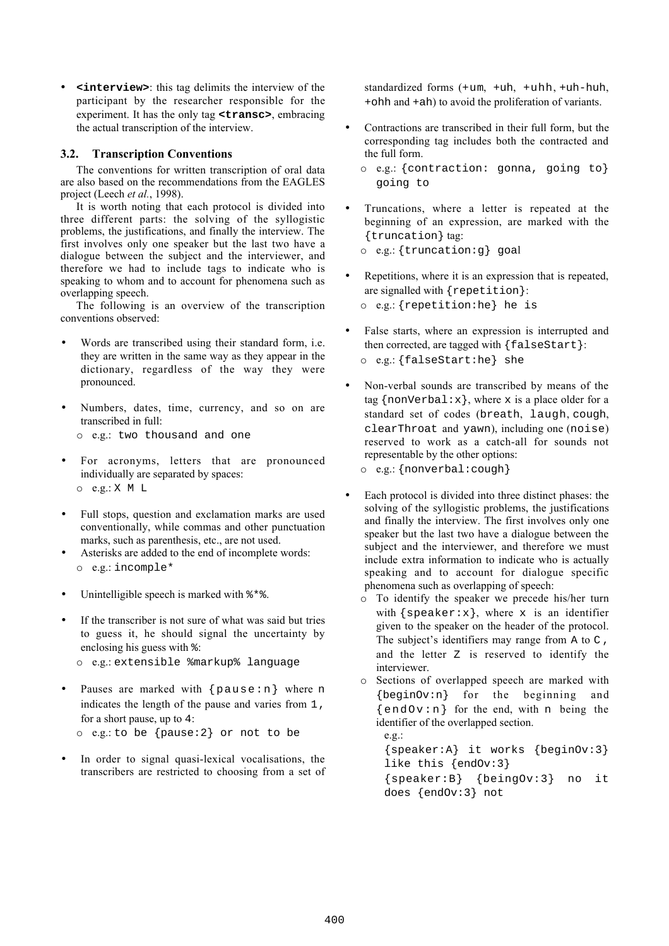• **<interview>**: this tag delimits the interview of the participant by the researcher responsible for the experiment. It has the only tag **<transc>**, embracing the actual transcription of the interview.

## **3.2. Transcription Conventions**

The conventions for written transcription of oral data are also based on the recommendations from the EAGLES project (Leech *et al.*, 1998).

It is worth noting that each protocol is divided into three different parts: the solving of the syllogistic problems, the justifications, and finally the interview. The first involves only one speaker but the last two have a dialogue between the subject and the interviewer, and therefore we had to include tags to indicate who is speaking to whom and to account for phenomena such as overlapping speech.

The following is an overview of the transcription conventions observed:

- Words are transcribed using their standard form, i.e. they are written in the same way as they appear in the dictionary, regardless of the way they were pronounced.
- Numbers, dates, time, currency, and so on are transcribed in full:

o e.g.: two thousand and one

- For acronyms, letters that are pronounced individually are separated by spaces: o e.g.: X M L
- Full stops, question and exclamation marks are used conventionally, while commas and other punctuation marks, such as parenthesis, etc., are not used.
- Asterisks are added to the end of incomplete words: o e.g.: incomple\*
- Unintelligible speech is marked with  $**$ .
- If the transcriber is not sure of what was said but tries to guess it, he should signal the uncertainty by enclosing his guess with %:
	- o e.g.: extensible %markup% language
- Pauses are marked with  $\{p$ ause:n} where n indicates the length of the pause and varies from 1, for a short pause, up to 4: o e.g.: to be {pause:2} or not to be
- In order to signal quasi-lexical vocalisations, the transcribers are restricted to choosing from a set of

standardized forms (+um, +uh, +uhh, +uh-huh, +ohh and +ah) to avoid the proliferation of variants.

- Contractions are transcribed in their full form, but the corresponding tag includes both the contracted and the full form.
	- o e.g.: {contraction: gonna, going to} going to
- Truncations, where a letter is repeated at the beginning of an expression, are marked with the {truncation} tag:

```
o e.g.: {truncation:g} goal
```
Repetitions, where it is an expression that is repeated, are signalled with {repetition}:

o e.g.: {repetition:he} he is

• False starts, where an expression is interrupted and then corrected, are tagged with {falseStart}: o e.g.: {falseStart:he} she

• Non-verbal sounds are transcribed by means of the tag { $nonVerbal: x$ }, where x is a place older for a standard set of codes (breath, laugh, cough, clearThroat and yawn), including one (noise) reserved to work as a catch-all for sounds not representable by the other options:

o e.g.: {nonverbal:cough}

- Each protocol is divided into three distinct phases: the solving of the syllogistic problems, the justifications and finally the interview. The first involves only one speaker but the last two have a dialogue between the subject and the interviewer, and therefore we must include extra information to indicate who is actually speaking and to account for dialogue specific phenomena such as overlapping of speech:
	- o To identify the speaker we precede his/her turn with  ${speaker:x}$ , where x is an identifier given to the speaker on the header of the protocol. The subject's identifiers may range from A to C, and the letter  $z$  is reserved to identify the interviewer.
	- o Sections of overlapped speech are marked with {beginOv:n} for the beginning and  $\{end, or: n\}$  for the end, with n being the identifier of the overlapped section.

e.g.: {speaker:A} it works {beginOv:3} like this {endOv:3} {speaker:B} {beingOv:3} no it does {endOv:3} not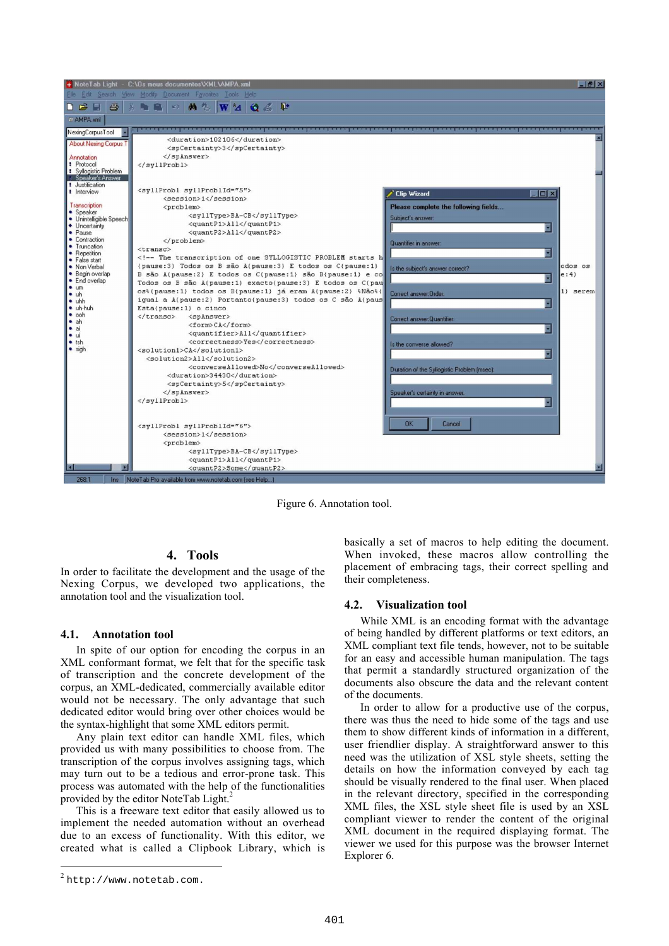

Figure 6. Annotation tool.

# **4. Tools**

In order to facilitate the development and the usage of the Nexing Corpus, we developed two applications, the annotation tool and the visualization tool.

### **4.1. Annotation tool**

In spite of our option for encoding the corpus in an XML conformant format, we felt that for the specific task of transcription and the concrete development of the corpus, an XML-dedicated, commercially available editor would not be necessary. The only advantage that such dedicated editor would bring over other choices would be the syntax-highlight that some XML editors permit.

Any plain text editor can handle XML files, which provided us with many possibilities to choose from. The transcription of the corpus involves assigning tags, which may turn out to be a tedious and error-prone task. This process was automated with the help of the functionalities provided by the editor NoteTab Light.<sup>2</sup>

This is a freeware text editor that easily allowed us to implement the needed automation without an overhead due to an excess of functionality. With this editor, we created what is called a Clipbook Library, which is basically a set of macros to help editing the document. When invoked, these macros allow controlling the placement of embracing tags, their correct spelling and their completeness.

### **4.2. Visualization tool**

While XML is an encoding format with the advantage of being handled by different platforms or text editors, an XML compliant text file tends, however, not to be suitable for an easy and accessible human manipulation. The tags that permit a standardly structured organization of the documents also obscure the data and the relevant content of the documents.

In order to allow for a productive use of the corpus, there was thus the need to hide some of the tags and use them to show different kinds of information in a different, user friendlier display. A straightforward answer to this need was the utilization of XSL style sheets, setting the details on how the information conveyed by each tag should be visually rendered to the final user. When placed in the relevant directory, specified in the corresponding XML files, the XSL style sheet file is used by an XSL compliant viewer to render the content of the original XML document in the required displaying format. The viewer we used for this purpose was the browser Internet Explorer 6.

1

<sup>2</sup> http://www.notetab.com.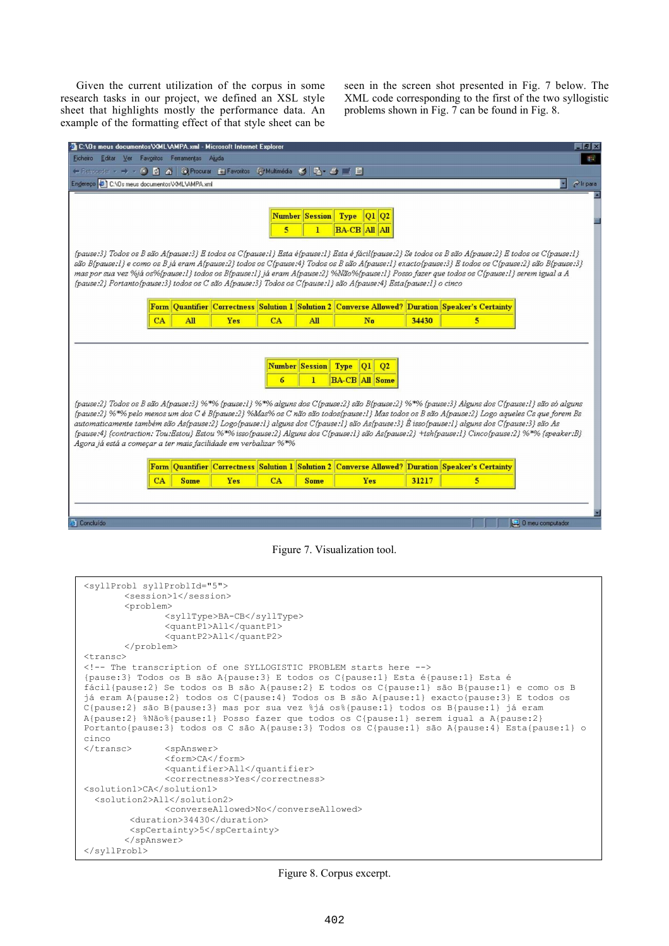Given the current utilization of the corpus in some research tasks in our project, we defined an XSL style sheet that highlights mostly the performance data. An example of the formatting effect of that style sheet can be seen in the screen shot presented in Fig. 7 below. The XML code corresponding to the first of the two syllogistic problems shown in Fig. 7 can be found in Fig. 8.

| 2 C:\Os meus documentos\XML\AMPA.xml - Microsoft Internet Explorer                                                                                                                                                                                                                                     |             |            |    |                       |                                          |       |                                                                                                  |                         | $  \mathbb{F}$ $\times$ |
|--------------------------------------------------------------------------------------------------------------------------------------------------------------------------------------------------------------------------------------------------------------------------------------------------------|-------------|------------|----|-----------------------|------------------------------------------|-------|--------------------------------------------------------------------------------------------------|-------------------------|-------------------------|
| Ficheiro<br>Editar Ver Favoritos Ferramentas Ajuda                                                                                                                                                                                                                                                     |             |            |    |                       |                                          |       |                                                                                                  |                         | 事                       |
| ← Retroceder → → → ※ 図 杰   Q Procurar 配 Favoritos ① Multimédia ※   尾 → 三 二 目                                                                                                                                                                                                                           |             |            |    |                       |                                          |       |                                                                                                  |                         |                         |
| Endereço ( C:\Os meus documentos\XML\AMPA.xml                                                                                                                                                                                                                                                          |             |            |    |                       |                                          |       |                                                                                                  |                         | $\rho$ Ir para          |
|                                                                                                                                                                                                                                                                                                        |             |            |    |                       |                                          |       |                                                                                                  |                         |                         |
|                                                                                                                                                                                                                                                                                                        |             |            |    |                       |                                          |       |                                                                                                  |                         |                         |
| <b>Number Session</b><br>Type<br>$Q1$ $Q2$                                                                                                                                                                                                                                                             |             |            |    |                       |                                          |       |                                                                                                  |                         |                         |
| $\bf{l}$<br><b>BA-CB All All</b><br>5                                                                                                                                                                                                                                                                  |             |            |    |                       |                                          |       |                                                                                                  |                         |                         |
|                                                                                                                                                                                                                                                                                                        |             |            |    |                       |                                          |       |                                                                                                  |                         |                         |
| {pause:3} Todos os B são A{pause:3} E todos os C{pause:1} Esta é{pause:1} Esta é fácil{pause:2} Se todos os B são A{pause:2} E todos os C{pause:1}<br>são B{pause:1} e como os B já eram A{pause:2} todos os C{pause:4} Todos os B são A{pause:1} exacto{pause:3} E todos os C{pause:2} são B{pause:3} |             |            |    |                       |                                          |       |                                                                                                  |                         |                         |
|                                                                                                                                                                                                                                                                                                        |             |            |    |                       |                                          |       |                                                                                                  |                         |                         |
| mas por sua vez %já os%{pause:1} todos os B{pause:1} já eram A{pause:2} %Não%{pause:1} Posso fazer que todos os C{pause:1} serem igual a A<br>{pause:2} Portanto{pause:3} todos os C são A{pause:3} Todos os C{pause:1} são A{pause:4} Esta{pause:1} o cinco                                           |             |            |    |                       |                                          |       |                                                                                                  |                         |                         |
|                                                                                                                                                                                                                                                                                                        |             |            |    |                       |                                          |       |                                                                                                  |                         |                         |
|                                                                                                                                                                                                                                                                                                        |             |            |    |                       |                                          |       | Form Quantifier Correctness Solution 1 Solution 2 Converse Allowed? Duration Speaker's Certainty |                         |                         |
| CA                                                                                                                                                                                                                                                                                                     | All         | <b>Yes</b> | CA | <b>All</b>            | No                                       | 34430 | 5                                                                                                |                         |                         |
|                                                                                                                                                                                                                                                                                                        |             |            |    |                       |                                          |       |                                                                                                  |                         |                         |
|                                                                                                                                                                                                                                                                                                        |             |            |    |                       |                                          |       |                                                                                                  |                         |                         |
|                                                                                                                                                                                                                                                                                                        |             |            |    |                       |                                          |       |                                                                                                  |                         |                         |
|                                                                                                                                                                                                                                                                                                        |             |            |    | <b>Number Session</b> | Type<br>Q <sub>1</sub><br>Q <sub>2</sub> |       |                                                                                                  |                         |                         |
|                                                                                                                                                                                                                                                                                                        |             |            | 6  | 1.                    | <b>BA-CB All Some</b>                    |       |                                                                                                  |                         |                         |
|                                                                                                                                                                                                                                                                                                        |             |            |    |                       |                                          |       |                                                                                                  |                         |                         |
| (pause:2} Todos os B são A(pause:3} %*% {pause:1} %*% alguns dos C(pause:2} são B(pause:2} %*% {pause:3} Alguns dos C(pause:1} são só alguns                                                                                                                                                           |             |            |    |                       |                                          |       |                                                                                                  |                         |                         |
| {pause:2} %*% pelo menos um dos C é B{pause:2} %Mas% os C não são todos{pause:1} Mas todos os B são A{pause:2} Logo aqueles Cs que forem Bs                                                                                                                                                            |             |            |    |                       |                                          |       |                                                                                                  |                         |                         |
| automaticamente também são As{pause:2} Logo{pause:1} alguns dos C{pause:1} são As{pause:3} È isso{pause:1} alguns dos C{pause:3} são As<br>{pause:4} {contraction: Tou:Estou} Estou %*% isso{pause:2} Alguns dos C{pause:1} são As{pause:2} +tsh{pause:1} Cinco{pause:2} %*% {speaker:B}               |             |            |    |                       |                                          |       |                                                                                                  |                         |                         |
| Agora já está a começar a ter mais facilidade em verbalizar %*%                                                                                                                                                                                                                                        |             |            |    |                       |                                          |       |                                                                                                  |                         |                         |
|                                                                                                                                                                                                                                                                                                        |             |            |    |                       |                                          |       |                                                                                                  |                         |                         |
|                                                                                                                                                                                                                                                                                                        |             |            |    |                       |                                          |       | Form Quantifier Correctness Solution 1 Solution 2 Converse Allowed? Duration Speaker's Certainty |                         |                         |
| CA                                                                                                                                                                                                                                                                                                     | <b>Some</b> | <b>Yes</b> | CA | <b>Some</b>           | Yes                                      | 31217 | $\overline{\mathbf{5}}$                                                                          |                         |                         |
|                                                                                                                                                                                                                                                                                                        |             |            |    |                       |                                          |       |                                                                                                  |                         |                         |
|                                                                                                                                                                                                                                                                                                        |             |            |    |                       |                                          |       |                                                                                                  |                         |                         |
|                                                                                                                                                                                                                                                                                                        |             |            |    |                       |                                          |       |                                                                                                  |                         |                         |
| <b>El Concluído</b>                                                                                                                                                                                                                                                                                    |             |            |    |                       |                                          |       |                                                                                                  | $\Box$ 0 meu computador |                         |

Figure 7. Visualization tool.

```
<syllProbl syllProblId="5">
       <session>1</session>
       <problem>
               <syllType>BA-CB</syllType>
               <quantP1>All</quantP1>
               <quantP2>All</quantP2>
       </problem>
<transc>
<!-- The transcription of one SYLLOGISTIC PROBLEM starts here -->
{pause:3} Todos os B são A{pause:3} E todos os C{pause:1} Esta é{pause:1} Esta é
fácil{pause:2} Se todos os B são A{pause:2} E todos os C{pause:1} são B{pause:1} e como os B
já eram A{pause:2} todos os C{pause:4} Todos os B são A{pause:1} exacto{pause:3} E todos os
C{pause:2} são B{pause:3} mas por sua vez %já os%{pause:1} todos os B{pause:1} já eram
A{pause:2} %Não%{pause:1} Posso fazer que todos os C{pause:1} serem igual a A{pause:2}
Portanto{pause:3} todos os C são A{pause:3} Todos os C{pause:1} são A{pause:4} Esta{pause:1} o
cinco
</transc> <spAnswer>
               <form>CA</form>
               <quantifier>All</quantifier>
               <correctness>Yes</correctness>
<solution1>CA</solution1>
   <solution2>All</solution2>
               <converseAllowed>No</converseAllowed>
         <duration>34430</duration>
         <spCertainty>5</spCertainty>
       </spAnswer>
</syllProbl>
```
Figure 8. Corpus excerpt.